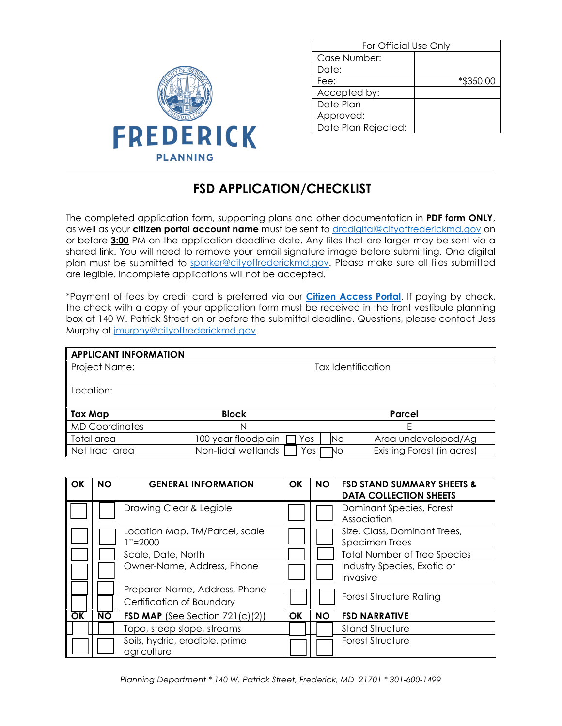

| For Official Use Only |           |  |
|-----------------------|-----------|--|
| Case Number:          |           |  |
| Date:                 |           |  |
| Fee:                  | *\$350.00 |  |
| Accepted by:          |           |  |
| Date Plan             |           |  |
| Approved:             |           |  |
| Date Plan Rejected:   |           |  |

## **FSD APPLICATION/CHECKLIST**

The completed application form, supporting plans and other documentation in **PDF form ONLY**, as well as your **citizen portal account name** must be sent to [drcdigital@cityoffrederickmd.gov](mailto:drcdigital@cityoffrederickmd.gov) on or before **3:00** PM on the application deadline date. Any files that are larger may be sent via a shared link. You will need to remove your email signature image before submitting. One digital plan must be submitted to [sparker@cityoffrederickmd.gov.](mailto:sparker@cityoffrederickmd.gov) Please make sure all files submitted are legible. Incomplete applications will not be accepted.

\*Payment of fees by credit card is preferred via our **[Citizen Access Portal](https://gcc02.safelinks.protection.outlook.com/?url=https%3A%2F%2Fcitizenaccess.cityoffrederick.com%2Fcitizenaccess%2F&data=02%7C01%7Cgcollard%40cityoffrederickmd.gov%7Cad3d08217e17487711b308d7d4cd9765%7Cc379f8550dee4b099f890cee3aa7f761%7C0%7C0%7C637211851779890394&sdata=fTC85eZgbuzzFKzq%2Fio%2FHxCILWPquIWiY8bsVzLfTtM%3D&reserved=0)**. If paying by check, the check with a copy of your application form must be received in the front vestibule planning box at 140 W. Patrick Street on or before the submittal deadline. Questions, please contact Jess Murphy at [jmurphy@cityoffrederickmd.gov.](mailto:jmurphy@cityoffrederickmd.gov)

| <b>APPLICANT INFORMATION</b> |                     |                    |                            |  |  |
|------------------------------|---------------------|--------------------|----------------------------|--|--|
| Project Name:                |                     | Tax Identification |                            |  |  |
| Location:                    |                     |                    |                            |  |  |
| <b>Tax Map</b>               | <b>Block</b>        |                    | Parcel                     |  |  |
| <b>MD Coordinates</b>        | Ν                   |                    |                            |  |  |
| Total area                   | 100 year floodplain | <b>INo</b><br>'es  | Area undeveloped/Ag        |  |  |
| Net tract area               | Non-tidal wetlands  | 'es<br>NO.         | Existing Forest (in acres) |  |  |

| OK | <b>NO</b>       | <b>GENERAL INFORMATION</b>                    | <b>OK</b> | <b>NO</b> | <b>FSD STAND SUMMARY SHEETS &amp;</b><br><b>DATA COLLECTION SHEETS</b> |
|----|-----------------|-----------------------------------------------|-----------|-----------|------------------------------------------------------------------------|
|    |                 | Drawing Clear & Legible                       |           |           | Dominant Species, Forest<br>Association                                |
|    |                 | Location Map, TM/Parcel, scale<br>$1' = 2000$ |           |           | Size, Class, Dominant Trees,<br>Specimen Trees                         |
|    |                 | Scale, Date, North                            |           |           | <b>Total Number of Tree Species</b>                                    |
|    |                 | Owner-Name, Address, Phone                    |           |           | Industry Species, Exotic or<br>Invasive                                |
|    |                 | Preparer-Name, Address, Phone                 |           |           |                                                                        |
|    |                 | Certification of Boundary                     |           |           | <b>Forest Structure Rating</b>                                         |
| OK | $\overline{NO}$ | FSD MAP (See Section $721(c)(2)$ )            | OK        | <b>NO</b> | <b>FSD NARRATIVE</b>                                                   |
|    |                 | Topo, steep slope, streams                    |           |           | <b>Stand Structure</b>                                                 |
|    |                 | Soils, hydric, erodible, prime<br>agriculture |           |           | Forest Structure                                                       |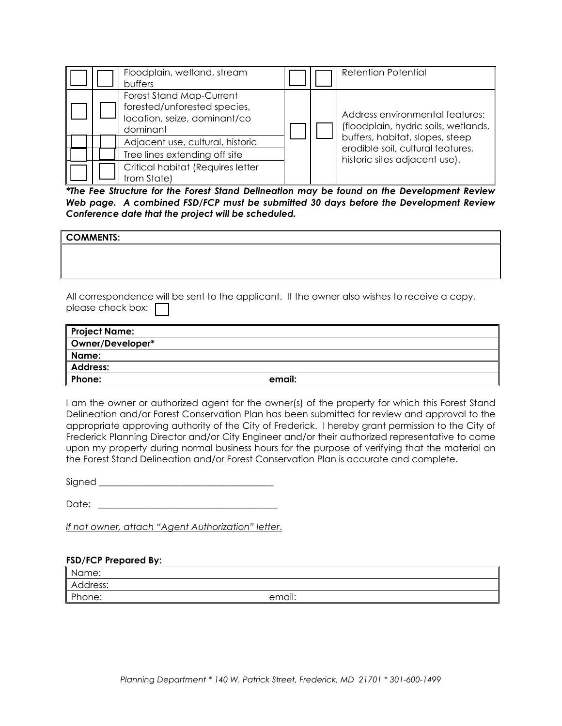|  | Floodplain, wetland, stream<br>buffers                                                               |  | <b>Retention Potential</b>                                              |
|--|------------------------------------------------------------------------------------------------------|--|-------------------------------------------------------------------------|
|  | Forest Stand Map-Current<br>forested/unforested species,<br>location, seize, dominant/co<br>dominant |  | Address environmental features:<br>(floodplain, hydric soils, wetlands, |
|  | Adjacent use, cultural, historic                                                                     |  | buffers, habitat, slopes, steep<br>erodible soil, cultural features,    |
|  | Tree lines extending off site                                                                        |  | historic sites adjacent use).                                           |
|  | Critical habitat (Requires letter<br>from State)                                                     |  |                                                                         |

*\*The Fee Structure for the Forest Stand Delineation may be found on the Development Review Web page. A combined FSD/FCP must be submitted 30 days before the Development Review Conference date that the project will be scheduled.* 

| <b>COMMENTS:</b> |  |
|------------------|--|
|                  |  |
|                  |  |
|                  |  |
|                  |  |

All correspondence will be sent to the applicant. If the owner also wishes to receive a copy, please check box:  $\Box$ 

| <b>Project Name:</b> |        |
|----------------------|--------|
| Owner/Developer*     |        |
| Name:                |        |
| <b>Address:</b>      |        |
| Phone:               | email: |

I am the owner or authorized agent for the owner(s) of the property for which this Forest Stand Delineation and/or Forest Conservation Plan has been submitted for review and approval to the appropriate approving authority of the City of Frederick. I hereby grant permission to the City of Frederick Planning Director and/or City Engineer and/or their authorized representative to come upon my property during normal business hours for the purpose of verifying that the material on the Forest Stand Delineation and/or Forest Conservation Plan is accurate and complete.

Signed \_\_\_\_\_\_\_\_\_\_\_\_\_\_\_\_\_\_\_\_\_\_\_\_\_\_\_\_\_\_\_\_\_\_\_\_\_\_

Date:  $\Box$ 

*If not owner, attach "Agent Authorization" letter*.

## **FSD/FCP Prepared By:**

| Name:    |        |
|----------|--------|
| Address: |        |
| Phone:   | email: |
|          |        |